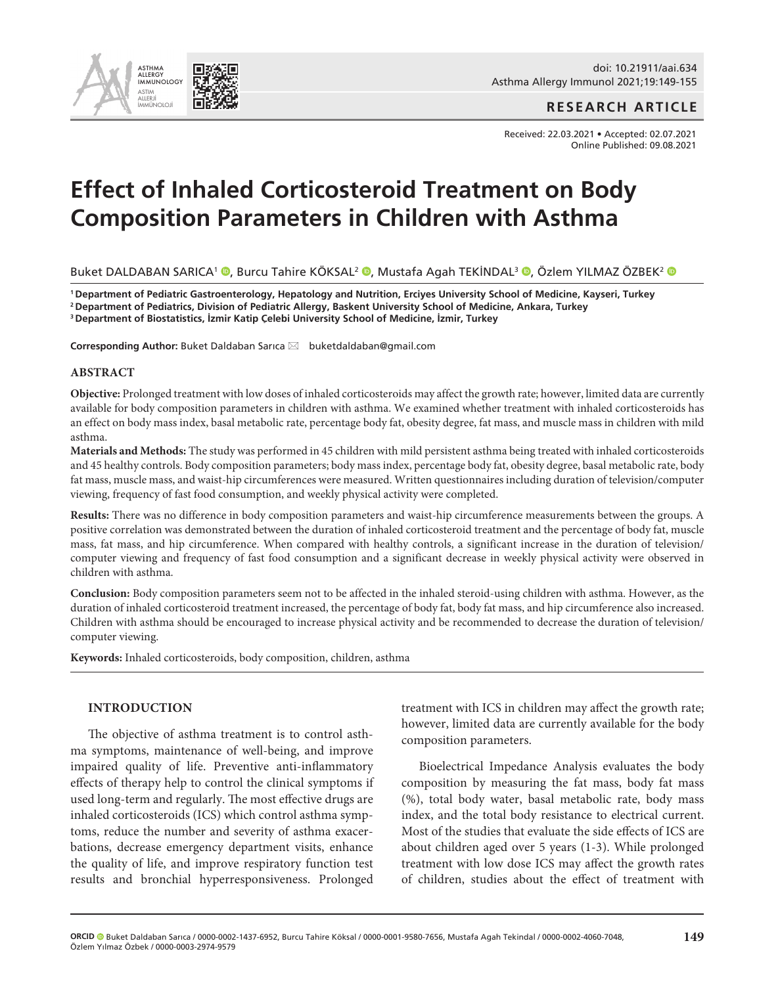

**RESEARCH ARTICLE**

Received: 22.03.2021 • Accepted: 02.07.2021 Online Published: 09.08.2021

# **Effect of Inhaled Corticosteroid Treatment on Body Composition Parameters in Children with Asthma**

Buket DALDABAN SARICA<sup>1</sup> ®[,](http://orcid.org/0000-0001-9580-7656) Burcu Tahire KÖKSAL<sup>2</sup> ®, Mustafa Agah TEKİNDAL<sup>3</sup> ®, Özlem YILMAZ ÖZBEK<sup>2</sup> ®

**1 Department of Pediatric Gastroenterology, Hepatology and Nutrition, Erciyes University School of Medicine, Kayseri, Turkey 2 Department of Pediatrics, Division of Pediatric Allergy, Baskent University School of Medicine, Ankara, Turkey**

**<sup>3</sup>Department of Biostatistics, İzmir Katip Çelebi University School of Medicine, İzmir, Turkey**

Corresponding Author: Buket Daldaban Sarıca ⊠ buketdaldaban@gmail.com

#### **ABSTRACT**

**Objective:** Prolonged treatment with low doses of inhaled corticosteroids may affect the growth rate; however, limited data are currently available for body composition parameters in children with asthma. We examined whether treatment with inhaled corticosteroids has an effect on body mass index, basal metabolic rate, percentage body fat, obesity degree, fat mass, and muscle mass in children with mild asthma.

**Materials and Methods:** The study was performed in 45 children with mild persistent asthma being treated with inhaled corticosteroids and 45 healthy controls. Body composition parameters; body mass index, percentage body fat, obesity degree, basal metabolic rate, body fat mass, muscle mass, and waist-hip circumferences were measured. Written questionnaires including duration of television/computer viewing, frequency of fast food consumption, and weekly physical activity were completed.

**Results:** There was no difference in body composition parameters and waist-hip circumference measurements between the groups. A positive correlation was demonstrated between the duration of inhaled corticosteroid treatment and the percentage of body fat, muscle mass, fat mass, and hip circumference. When compared with healthy controls, a significant increase in the duration of television/ computer viewing and frequency of fast food consumption and a significant decrease in weekly physical activity were observed in children with asthma.

**Conclusion:** Body composition parameters seem not to be affected in the inhaled steroid-using children with asthma. However, as the duration of inhaled corticosteroid treatment increased, the percentage of body fat, body fat mass, and hip circumference also increased. Children with asthma should be encouraged to increase physical activity and be recommended to decrease the duration of television/ computer viewing.

**Keywords:** Inhaled corticosteroids, body composition, children, asthma

## **INTRODUCTION**

The objective of asthma treatment is to control asthma symptoms, maintenance of well-being, and improve impaired quality of life. Preventive anti-inflammatory effects of therapy help to control the clinical symptoms if used long-term and regularly. The most effective drugs are inhaled corticosteroids (ICS) which control asthma symptoms, reduce the number and severity of asthma exacerbations, decrease emergency department visits, enhance the quality of life, and improve respiratory function test results and bronchial hyperresponsiveness. Prolonged

treatment with ICS in children may affect the growth rate; however, limited data are currently available for the body composition parameters.

Bioelectrical Impedance Analysis evaluates the body composition by measuring the fat mass, body fat mass (%), total body water, basal metabolic rate, body mass index, and the total body resistance to electrical current. Most of the studies that evaluate the side effects of ICS are about children aged over 5 years (1-3). While prolonged treatment with low dose ICS may affect the growth rates of children, studies about the effect of treatment with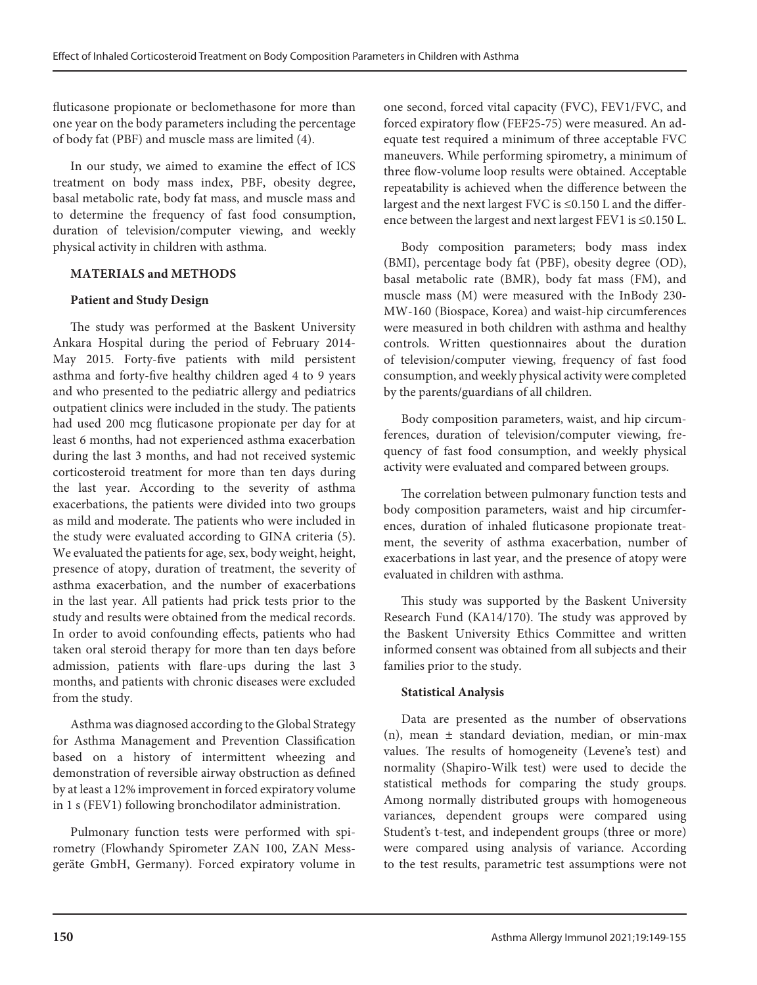fluticasone propionate or beclomethasone for more than one year on the body parameters including the percentage of body fat (PBF) and muscle mass are limited (4).

In our study, we aimed to examine the effect of ICS treatment on body mass index, PBF, obesity degree, basal metabolic rate, body fat mass, and muscle mass and to determine the frequency of fast food consumption, duration of television/computer viewing, and weekly physical activity in children with asthma.

# **MATERIALS and METHODS**

# **Patient and Study Design**

The study was performed at the Baskent University Ankara Hospital during the period of February 2014- May 2015. Forty-five patients with mild persistent asthma and forty-five healthy children aged 4 to 9 years and who presented to the pediatric allergy and pediatrics outpatient clinics were included in the study. The patients had used 200 mcg fluticasone propionate per day for at least 6 months, had not experienced asthma exacerbation during the last 3 months, and had not received systemic corticosteroid treatment for more than ten days during the last year. According to the severity of asthma exacerbations, the patients were divided into two groups as mild and moderate. The patients who were included in the study were evaluated according to GINA criteria (5). We evaluated the patients for age, sex, body weight, height, presence of atopy, duration of treatment, the severity of asthma exacerbation, and the number of exacerbations in the last year. All patients had prick tests prior to the study and results were obtained from the medical records. In order to avoid confounding effects, patients who had taken oral steroid therapy for more than ten days before admission, patients with flare-ups during the last 3 months, and patients with chronic diseases were excluded from the study.

Asthma was diagnosed according to the Global Strategy for Asthma Management and Prevention Classification based on a history of intermittent wheezing and demonstration of reversible airway obstruction as defined by at least a 12% improvement in forced expiratory volume in 1 s (FEV1) following bronchodilator administration.

Pulmonary function tests were performed with spirometry (Flowhandy Spirometer ZAN 100, ZAN Messgeräte GmbH, Germany). Forced expiratory volume in one second, forced vital capacity (FVC), FEV1/FVC, and forced expiratory flow (FEF25-75) were measured. An adequate test required a minimum of three acceptable FVC maneuvers. While performing spirometry, a minimum of three flow-volume loop results were obtained. Acceptable repeatability is achieved when the difference between the largest and the next largest FVC is ≤0.150 L and the difference between the largest and next largest FEV1 is ≤0.150 L.

Body composition parameters; body mass index (BMI), percentage body fat (PBF), obesity degree (OD), basal metabolic rate (BMR), body fat mass (FM), and muscle mass (M) were measured with the InBody 230- MW-160 (Biospace, Korea) and waist-hip circumferences were measured in both children with asthma and healthy controls. Written questionnaires about the duration of television/computer viewing, frequency of fast food consumption, and weekly physical activity were completed by the parents/guardians of all children.

Body composition parameters, waist, and hip circumferences, duration of television/computer viewing, frequency of fast food consumption, and weekly physical activity were evaluated and compared between groups.

The correlation between pulmonary function tests and body composition parameters, waist and hip circumferences, duration of inhaled fluticasone propionate treatment, the severity of asthma exacerbation, number of exacerbations in last year, and the presence of atopy were evaluated in children with asthma.

This study was supported by the Baskent University Research Fund (KA14/170). The study was approved by the Baskent University Ethics Committee and written informed consent was obtained from all subjects and their families prior to the study.

## **Statistical Analysis**

Data are presented as the number of observations (n), mean ± standard deviation, median, or min-max values. The results of homogeneity (Levene's test) and normality (Shapiro-Wilk test) were used to decide the statistical methods for comparing the study groups. Among normally distributed groups with homogeneous variances, dependent groups were compared using Student's t-test, and independent groups (three or more) were compared using analysis of variance. According to the test results, parametric test assumptions were not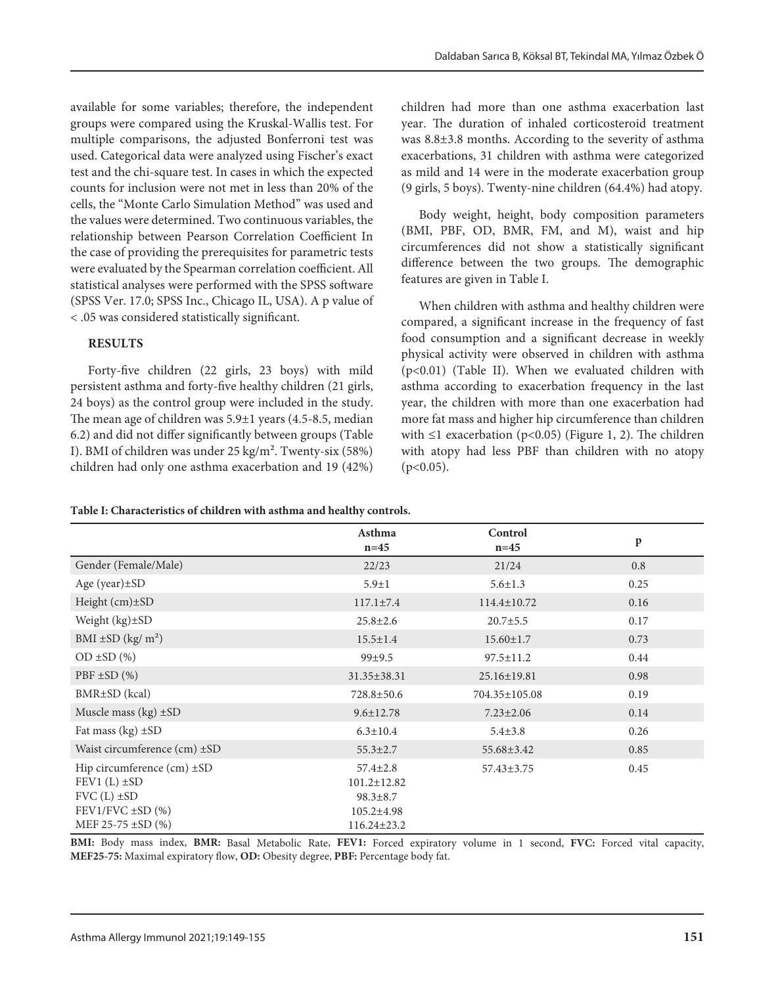available for some variables; therefore, the independent groups were compared using the Kruskal-Wallis test. For multiple comparisons, the adjusted Bonferroni test was used. Categorical data were analyzed using Fischer's exact test and the chi-square test. In cases in which the expected counts for inclusion were not met in less than 20% of the cells, the "Monte Carlo Simulation Method" was used and the values were determined. Two continuous variables, the relationship between Pearson Correlation Coefficient In the case of providing the prerequisites for parametric tests were evaluated by the Spearman correlation coefficient. All statistical analyses were performed with the SPSS software (SPSS Ver. 17.0; SPSS Inc., Chicago IL, USA). A p value of < .05 was considered statistically significant.

## **RESULTS**

Forty-five children (22 girls, 23 boys) with mild persistent asthma and forty-five healthy children (21 girls, 24 boys) as the control group were included in the study. The mean age of children was 5.9±1 years (4.5-8.5, median 6.2) and did not differ significantly between groups (Table I). BMI of children was under 25 kg/m². Twenty-six (58%) children had only one asthma exacerbation and 19 (42%)

children had more than one asthma exacerbation last year. The duration of inhaled corticosteroid treatment was 8.8±3.8 months. According to the severity of asthma exacerbations, 31 children with asthma were categorized as mild and 14 were in the moderate exacerbation group (9 girls, 5 boys). Twenty-nine children (64.4%) had atopy.

Body weight, height, body composition parameters (BMI, PBF, OD, BMR, FM, and M), waist and hip circumferences did not show a statistically significant difference between the two groups. The demographic features are given in Table I.

When children with asthma and healthy children were compared, a significant increase in the frequency of fast food consumption and a significant decrease in weekly physical activity were observed in children with asthma (p<0.01) (Table II). When we evaluated children with asthma according to exacerbation frequency in the last year, the children with more than one exacerbation had more fat mass and higher hip circumference than children with  $\leq 1$  exacerbation (p<0.05) (Figure 1, 2). The children with atopy had less PBF than children with no atopy  $(p<0.05)$ .

|                                                                                                                      | Asthma<br>$n=45$                                                                               | Control<br>$n=45$ | $\mathbf{p}$ |
|----------------------------------------------------------------------------------------------------------------------|------------------------------------------------------------------------------------------------|-------------------|--------------|
| Gender (Female/Male)                                                                                                 | 22/23                                                                                          | 21/24             | 0.8          |
| Age (year) $\pm$ SD                                                                                                  | $5.9 \pm 1$                                                                                    | $5.6 \pm 1.3$     | 0.25         |
| Height (cm)±SD                                                                                                       | $117.1 \pm 7.4$                                                                                | $114.4 \pm 10.72$ | 0.16         |
| Weight $(kg) \pm SD$                                                                                                 | $25.8 \pm 2.6$                                                                                 | $20.7 \pm 5.5$    | 0.17         |
| $BMI \pm SD (kg/m^2)$                                                                                                | $15.5 \pm 1.4$                                                                                 | $15.60 \pm 1.7$   | 0.73         |
| $OD \pm SD$ (%)                                                                                                      | 99±9.5                                                                                         | $97.5 \pm 11.2$   | 0.44         |
| $PBF \pm SD$ (%)                                                                                                     | $31.35 \pm 38.31$                                                                              | 25.16±19.81       | 0.98         |
| BMR±SD (kcal)                                                                                                        | 728.8±50.6                                                                                     | 704.35±105.08     | 0.19         |
| Muscle mass $(kg) \pm SD$                                                                                            | $9.6 \pm 12.78$                                                                                | $7.23 \pm 2.06$   | 0.14         |
| Fat mass $(kg) \pm SD$                                                                                               | $6.3 \pm 10.4$                                                                                 | $5.4 \pm 3.8$     | 0.26         |
| Waist circumference (cm) ±SD                                                                                         | $55.3 \pm 2.7$                                                                                 | 55.68±3.42        | 0.85         |
| Hip circumference (cm) ±SD<br>$FEV1(L) \pm SD$<br>$FVC(L) \pm SD$<br>$FEV1/FVC \pm SD$ (%)<br>MEF 25-75 $\pm$ SD (%) | $57.4 \pm 2.8$<br>$101.2 \pm 12.82$<br>$98.3 \pm 8.7$<br>$105.2 \pm 4.98$<br>$116.24 \pm 23.2$ | $57.43 \pm 3.75$  | 0.45         |

**BMI:** Body mass index, **BMR:** Basal Metabolic Rate, **FEV1:** Forced expiratory volume in 1 second, **FVC:** Forced vital capacity, **MEF25-75:** Maximal expiratory flow, **OD:** Obesity degree, **PBF:** Percentage body fat.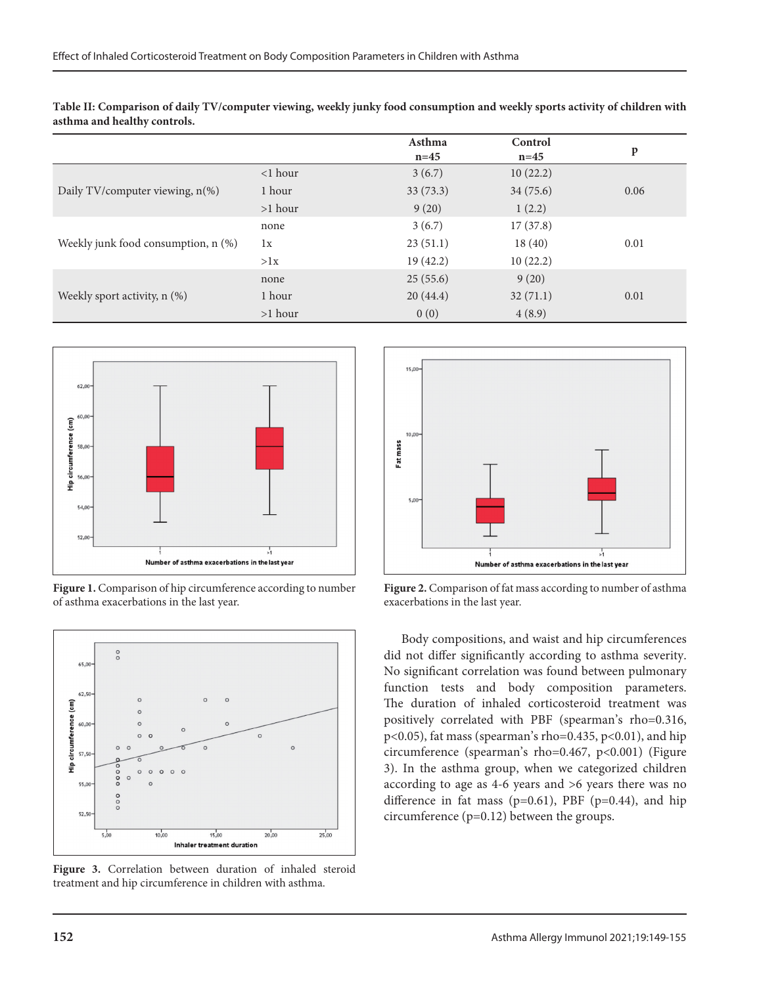|                                     |            | Asthma<br>$n=45$ | Control<br>$n=45$ | p    |
|-------------------------------------|------------|------------------|-------------------|------|
| Daily TV/computer viewing, n(%)     | $<$ 1 hour | 3(6.7)           | 10(22.2)          |      |
|                                     | 1 hour     | 33(73.3)         | 34 (75.6)         | 0.06 |
|                                     | $>1$ hour  | 9(20)            | 1(2.2)            |      |
| Weekly junk food consumption, n (%) | none       | 3(6.7)           | 17(37.8)          |      |
|                                     | 1x         | 23(51.1)         | 18(40)            | 0.01 |
|                                     | >1x        | 19 (42.2)        | 10(22.2)          |      |
| Weekly sport activity, n (%)        | none       | 25(55.6)         | 9(20)             |      |
|                                     | 1 hour     | 20(44.4)         | 32(71.1)          | 0.01 |
|                                     | $>1$ hour  | 0(0)             | 4(8.9)            |      |

**Table II: Comparison of daily TV/computer viewing, weekly junky food consumption and weekly sports activity of children with asthma and healthy controls.**



**Figure 1.** Comparison of hip circumference according to number of asthma exacerbations in the last year.



**Figure 3.** Correlation between duration of inhaled steroid treatment and hip circumference in children with asthma.



**Figure 2.** Comparison of fat mass according to number of asthma exacerbations in the last year.

Body compositions, and waist and hip circumferences did not differ significantly according to asthma severity. No significant correlation was found between pulmonary function tests and body composition parameters. The duration of inhaled corticosteroid treatment was positively correlated with PBF (spearman's rho=0.316, p<0.05), fat mass (spearman's rho=0.435, p<0.01), and hip circumference (spearman's rho=0.467, p<0.001) (Figure 3). In the asthma group, when we categorized children according to age as 4-6 years and >6 years there was no difference in fat mass ( $p=0.61$ ), PBF ( $p=0.44$ ), and hip circumference (p=0.12) between the groups.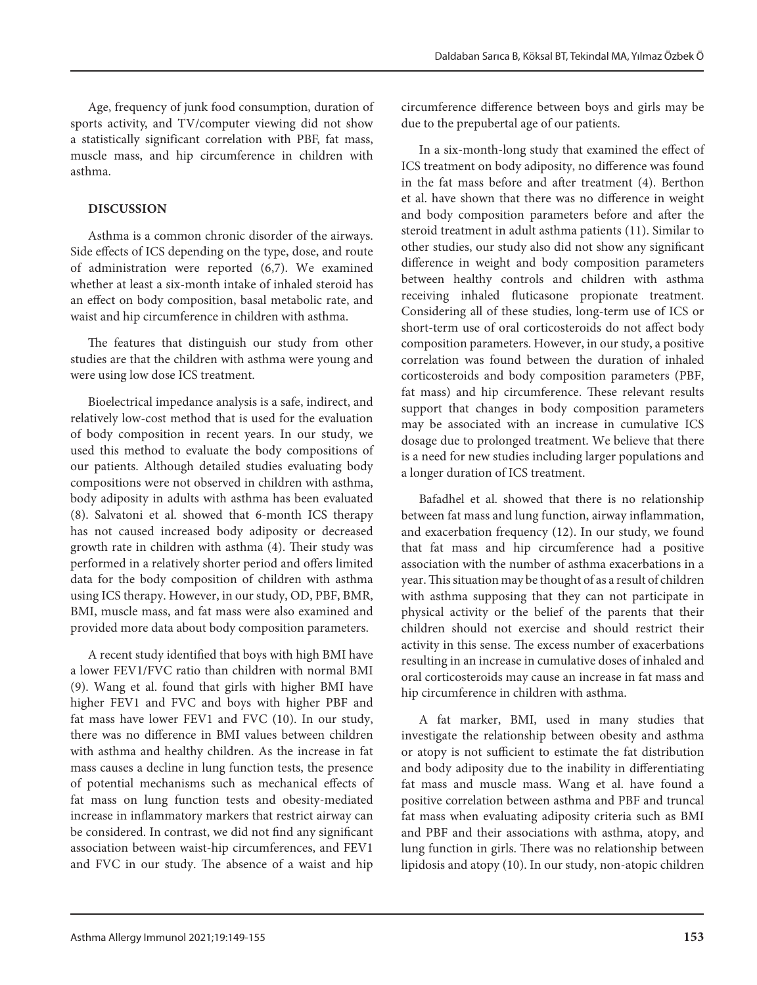Age, frequency of junk food consumption, duration of sports activity, and TV/computer viewing did not show a statistically significant correlation with PBF, fat mass, muscle mass, and hip circumference in children with asthma.

# **DISCUSSION**

Asthma is a common chronic disorder of the airways. Side effects of ICS depending on the type, dose, and route of administration were reported (6,7). We examined whether at least a six-month intake of inhaled steroid has an effect on body composition, basal metabolic rate, and waist and hip circumference in children with asthma.

The features that distinguish our study from other studies are that the children with asthma were young and were using low dose ICS treatment.

Bioelectrical impedance analysis is a safe, indirect, and relatively low-cost method that is used for the evaluation of body composition in recent years. In our study, we used this method to evaluate the body compositions of our patients. Although detailed studies evaluating body compositions were not observed in children with asthma, body adiposity in adults with asthma has been evaluated (8). Salvatoni et al. showed that 6-month ICS therapy has not caused increased body adiposity or decreased growth rate in children with asthma (4). Their study was performed in a relatively shorter period and offers limited data for the body composition of children with asthma using ICS therapy. However, in our study, OD, PBF, BMR, BMI, muscle mass, and fat mass were also examined and provided more data about body composition parameters.

A recent study identified that boys with high BMI have a lower FEV1/FVC ratio than children with normal BMI (9). Wang et al. found that girls with higher BMI have higher FEV1 and FVC and boys with higher PBF and fat mass have lower FEV1 and FVC (10). In our study, there was no difference in BMI values between children with asthma and healthy children. As the increase in fat mass causes a decline in lung function tests, the presence of potential mechanisms such as mechanical effects of fat mass on lung function tests and obesity-mediated increase in inflammatory markers that restrict airway can be considered. In contrast, we did not find any significant association between waist-hip circumferences, and FEV1 and FVC in our study. The absence of a waist and hip

circumference difference between boys and girls may be due to the prepubertal age of our patients.

In a six-month-long study that examined the effect of ICS treatment on body adiposity, no difference was found in the fat mass before and after treatment (4). Berthon et al. have shown that there was no difference in weight and body composition parameters before and after the steroid treatment in adult asthma patients (11). Similar to other studies, our study also did not show any significant difference in weight and body composition parameters between healthy controls and children with asthma receiving inhaled fluticasone propionate treatment. Considering all of these studies, long-term use of ICS or short-term use of oral corticosteroids do not affect body composition parameters. However, in our study, a positive correlation was found between the duration of inhaled corticosteroids and body composition parameters (PBF, fat mass) and hip circumference. These relevant results support that changes in body composition parameters may be associated with an increase in cumulative ICS dosage due to prolonged treatment. We believe that there is a need for new studies including larger populations and a longer duration of ICS treatment.

Bafadhel et al. showed that there is no relationship between fat mass and lung function, airway inflammation, and exacerbation frequency (12). In our study, we found that fat mass and hip circumference had a positive association with the number of asthma exacerbations in a year. This situation may be thought of as a result of children with asthma supposing that they can not participate in physical activity or the belief of the parents that their children should not exercise and should restrict their activity in this sense. The excess number of exacerbations resulting in an increase in cumulative doses of inhaled and oral corticosteroids may cause an increase in fat mass and hip circumference in children with asthma.

A fat marker, BMI, used in many studies that investigate the relationship between obesity and asthma or atopy is not sufficient to estimate the fat distribution and body adiposity due to the inability in differentiating fat mass and muscle mass. Wang et al. have found a positive correlation between asthma and PBF and truncal fat mass when evaluating adiposity criteria such as BMI and PBF and their associations with asthma, atopy, and lung function in girls. There was no relationship between lipidosis and atopy (10). In our study, non-atopic children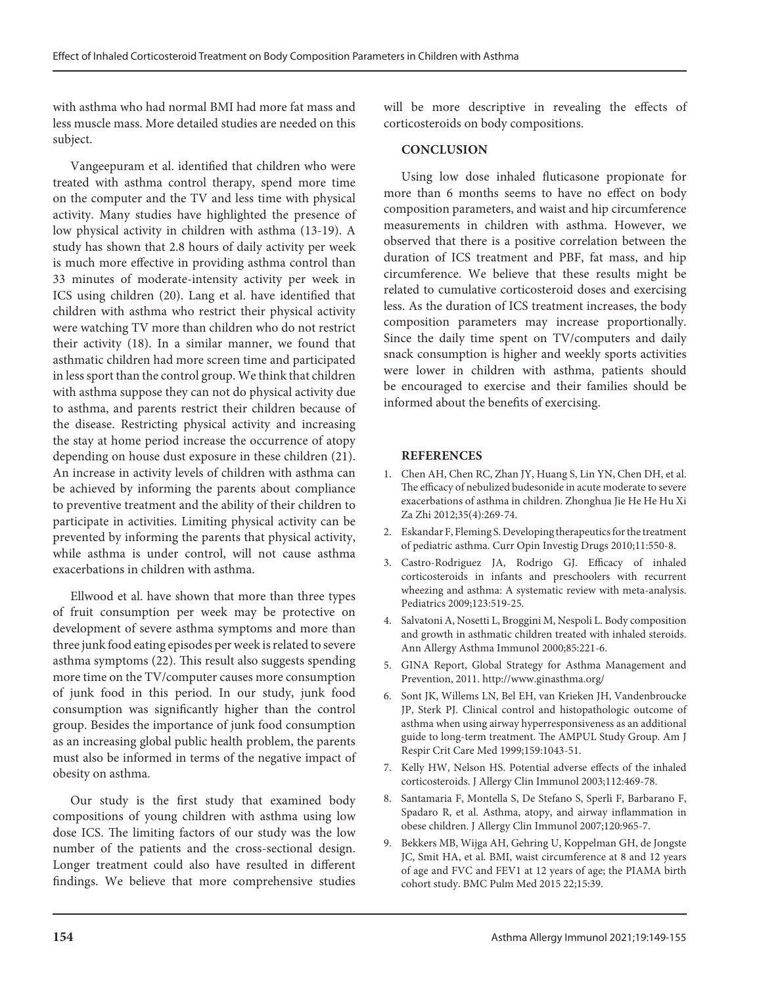with asthma who had normal BMI had more fat mass and less muscle mass. More detailed studies are needed on this subject.

Vangeepuram et al. identified that children who were treated with asthma control therapy, spend more time on the computer and the TV and less time with physical activity. Many studies have highlighted the presence of low physical activity in children with asthma (13-19). A study has shown that 2.8 hours of daily activity per week is much more effective in providing asthma control than 33 minutes of moderate-intensity activity per week in ICS using children (20). Lang et al. have identified that children with asthma who restrict their physical activity were watching TV more than children who do not restrict their activity (18). In a similar manner, we found that asthmatic children had more screen time and participated in less sport than the control group. We think that children with asthma suppose they can not do physical activity due to asthma, and parents restrict their children because of the disease. Restricting physical activity and increasing the stay at home period increase the occurrence of atopy depending on house dust exposure in these children (21). An increase in activity levels of children with asthma can be achieved by informing the parents about compliance to preventive treatment and the ability of their children to participate in activities. Limiting physical activity can be prevented by informing the parents that physical activity, while asthma is under control, will not cause asthma exacerbations in children with asthma.

Ellwood et al. have shown that more than three types of fruit consumption per week may be protective on development of severe asthma symptoms and more than three junk food eating episodes per week is related to severe asthma symptoms (22). This result also suggests spending more time on the TV/computer causes more consumption of junk food in this period. In our study, junk food consumption was significantly higher than the control group. Besides the importance of junk food consumption as an increasing global public health problem, the parents must also be informed in terms of the negative impact of obesity on asthma.

Our study is the first study that examined body compositions of young children with asthma using low dose ICS. The limiting factors of our study was the low number of the patients and the cross-sectional design. Longer treatment could also have resulted in different findings. We believe that more comprehensive studies will be more descriptive in revealing the effects of corticosteroids on body compositions.

#### **CONCLUSION**

Using low dose inhaled fluticasone propionate for more than 6 months seems to have no effect on body composition parameters, and waist and hip circumference measurements in children with asthma. However, we observed that there is a positive correlation between the duration of ICS treatment and PBF, fat mass, and hip circumference. We believe that these results might be related to cumulative corticosteroid doses and exercising less. As the duration of ICS treatment increases, the body composition parameters may increase proportionally. Since the daily time spent on TV/computers and daily snack consumption is higher and weekly sports activities were lower in children with asthma, patients should be encouraged to exercise and their families should be informed about the benefits of exercising.

#### **REFERENCES**

- 1. Chen AH, Chen RC, Zhan JY, Huang S, Lin YN, Chen DH, et al. The efficacy of nebulized budesonide in acute moderate to severe exacerbations of asthma in children. Zhonghua Jie He He Hu Xi Za Zhi 2012;35(4):269-74.
- 2. Eskandar F, Fleming S. Developing therapeutics for the treatment of pediatric asthma. Curr Opin Investig Drugs 2010;11:550-8.
- 3. Castro-Rodriguez JA, Rodrigo GJ. Efficacy of inhaled corticosteroids in infants and preschoolers with recurrent wheezing and asthma: A systematic review with meta-analysis. Pediatrics 2009;123:519-25.
- 4. Salvatoni A, Nosetti L, Broggini M, Nespoli L. Body composition and growth in asthmatic children treated with inhaled steroids. Ann Allergy Asthma Immunol 2000;85:221-6.
- 5. GINA Report, Global Strategy for Asthma Management and Prevention, 2011. http://www.ginasthma.org/
- 6. Sont JK, Willems LN, Bel EH, van Krieken JH, Vandenbroucke JP, Sterk PJ. Clinical control and histopathologic outcome of asthma when using airway hyperresponsiveness as an additional guide to long-term treatment. The AMPUL Study Group. Am J Respir Crit Care Med 1999;159:1043-51.
- 7. Kelly HW, Nelson HS. Potential adverse effects of the inhaled corticosteroids. J Allergy Clin Immunol 2003;112:469-78.
- 8. Santamaria F, Montella S, De Stefano S, Sperlì F, Barbarano F, Spadaro R, et al. Asthma, atopy, and airway inflammation in obese children. J Allergy Clin Immunol 2007;120:965-7.
- 9. Bekkers MB, Wijga AH, Gehring U, Koppelman GH, de Jongste JC, Smit HA, et al. BMI, waist circumference at 8 and 12 years of age and FVC and FEV1 at 12 years of age; the PIAMA birth cohort study. BMC Pulm Med 2015 22;15:39.